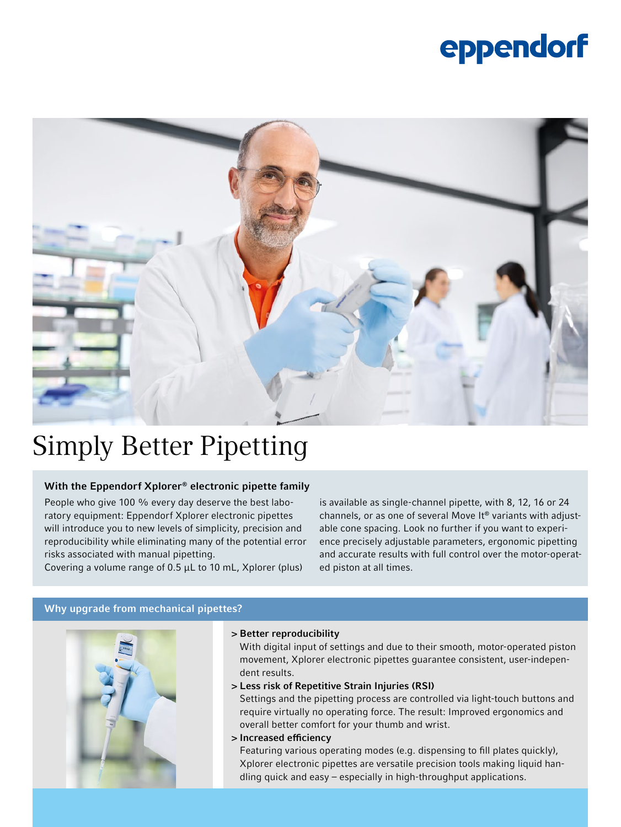# eppendorf



## Simply Better Pipetting

#### With the Eppendorf Xplorer® electronic pipette family

People who give 100 % every day deserve the best laboratory equipment: Eppendorf Xplorer electronic pipettes will introduce you to new levels of simplicity, precision and reproducibility while eliminating many of the potential error risks associated with manual pipetting.

Covering a volume range of 0.5 µL to 10 mL, Xplorer (plus)

is available as single-channel pipette, with 8, 12, 16 or 24 channels, or as one of several Move It® variants with adjustable cone spacing. Look no further if you want to experience precisely adjustable parameters, ergonomic pipetting and accurate results with full control over the motor-operated piston at all times.

#### Why upgrade from mechanical pipettes?



#### > Better reproducibility

With digital input of settings and due to their smooth, motor-operated piston movement, Xplorer electronic pipettes guarantee consistent, user-independent results.

> Less risk of Repetitive Strain Injuries (RSI)

Settings and the pipetting process are controlled via light-touch buttons and require virtually no operating force. The result: Improved ergonomics and overall better comfort for your thumb and wrist.

#### > Increased efficiency

Featuring various operating modes (e.g. dispensing to fill plates quickly), Xplorer electronic pipettes are versatile precision tools making liquid handling quick and easy – especially in high-throughput applications.